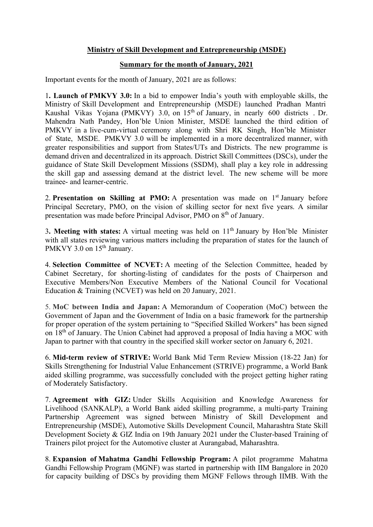## Ministry of Skill Development and Entrepreneurship (MSDE)

## Summary for the month of January, 2021

Important events for the month of January, 2021 are as follows:

1. Launch of PMKVY 3.0: In a bid to empower India's youth with employable skills, the Ministry of Skill Development and Entrepreneurship (MSDE) launched Pradhan Mantri Kaushal Vikas Yojana (PMKVY) 3.0, on 15<sup>th</sup> of January, in nearly 600 districts . Dr. Mahendra Nath Pandey, Hon'ble Union Minister, MSDE launched the third edition of PMKVY in a live-cum-virtual ceremony along with Shri RK Singh, Hon'ble Minister of State, MSDE. PMKVY 3.0 will be implemented in a more decentralized manner, with greater responsibilities and support from States/UTs and Districts. The new programme is demand driven and decentralized in its approach. District Skill Committees (DSCs), under the guidance of State Skill Development Missions (SSDM), shall play a key role in addressing the skill gap and assessing demand at the district level. The new scheme will be more trainee- and learner-centric.

2. Presentation on Skilling at PMO: A presentation was made on  $1<sup>st</sup>$  January before Principal Secretary, PMO, on the vision of skilling sector for next five years. A similar presentation was made before Principal Advisor, PMO on 8<sup>th</sup> of January.

3. Meeting with states: A virtual meeting was held on  $11<sup>th</sup>$  January by Hon'ble Minister with all states reviewing various matters including the preparation of states for the launch of PMKVY 3.0 on 15<sup>th</sup> January.

4. Selection Committee of NCVET: A meeting of the Selection Committee, headed by Cabinet Secretary, for shorting-listing of candidates for the posts of Chairperson and Executive Members/Non Executive Members of the National Council for Vocational Education & Training (NCVET) was held on 20 January, 2021.

5. MoC between India and Japan: A Memorandum of Cooperation (MoC) between the Government of Japan and the Government of India on a basic framework for the partnership for proper operation of the system pertaining to "Specified Skilled Workers" has been signed on 18<sup>th</sup> of January. The Union Cabinet had approved a proposal of India having a MOC with Japan to partner with that country in the specified skill worker sector on January 6, 2021.

6. Mid-term review of STRIVE: World Bank Mid Term Review Mission (18-22 Jan) for Skills Strengthening for Industrial Value Enhancement (STRIVE) programme, a World Bank aided skilling programme, was successfully concluded with the project getting higher rating of Moderately Satisfactory.

7. Agreement with GIZ: Under Skills Acquisition and Knowledge Awareness for Livelihood (SANKALP), a World Bank aided skilling programme, a multi-party Training Partnership Agreement was signed between Ministry of Skill Development and Entrepreneurship (MSDE), Automotive Skills Development Council, Maharashtra State Skill Development Society & GIZ India on 19th January 2021 under the Cluster-based Training of Trainers pilot project for the Automotive cluster at Aurangabad, Maharashtra.

8. Expansion of Mahatma Gandhi Fellowship Program: A pilot programme Mahatma Gandhi Fellowship Program (MGNF) was started in partnership with IIM Bangalore in 2020 for capacity building of DSCs by providing them MGNF Fellows through IIMB. With the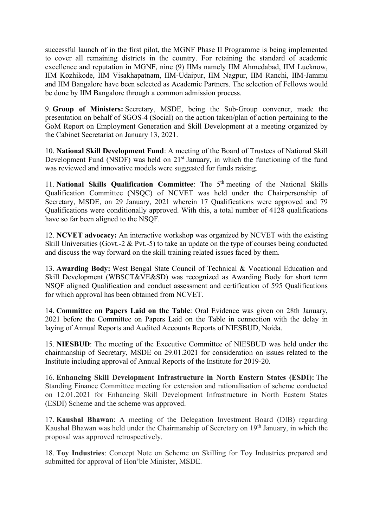successful launch of in the first pilot, the MGNF Phase II Programme is being implemented to cover all remaining districts in the country. For retaining the standard of academic excellence and reputation in MGNF, nine (9) IIMs namely IIM Ahmedabad, IIM Lucknow, IIM Kozhikode, IIM Visakhapatnam, IIM-Udaipur, IIM Nagpur, IIM Ranchi, IIM-Jammu and IIM Bangalore have been selected as Academic Partners. The selection of Fellows would be done by IIM Bangalore through a common admission process.

9. Group of Ministers: Secretary, MSDE, being the Sub-Group convener, made the presentation on behalf of SGOS-4 (Social) on the action taken/plan of action pertaining to the GoM Report on Employment Generation and Skill Development at a meeting organized by the Cabinet Secretariat on January 13, 2021.

10. National Skill Development Fund: A meeting of the Board of Trustees of National Skill Development Fund (NSDF) was held on  $21<sup>st</sup>$  January, in which the functioning of the fund was reviewed and innovative models were suggested for funds raising.

11. National Skills Qualification Committee: The  $5<sup>th</sup>$  meeting of the National Skills Qualification Committee (NSQC) of NCVET was held under the Chairpersonship of Secretary, MSDE, on 29 January, 2021 wherein 17 Qualifications were approved and 79 Qualifications were conditionally approved. With this, a total number of 4128 qualifications have so far been aligned to the NSQF.

12. NCVET advocacy: An interactive workshop was organized by NCVET with the existing Skill Universities (Govt.-2  $&$  Pvt.-5) to take an update on the type of courses being conducted and discuss the way forward on the skill training related issues faced by them.

13. Awarding Body: West Bengal State Council of Technical & Vocational Education and Skill Development (WBSCT&VE&SD) was recognized as Awarding Body for short term NSQF aligned Qualification and conduct assessment and certification of 595 Qualifications for which approval has been obtained from NCVET.

14. Committee on Papers Laid on the Table: Oral Evidence was given on 28th January, 2021 before the Committee on Papers Laid on the Table in connection with the delay in laying of Annual Reports and Audited Accounts Reports of NIESBUD, Noida.

15. NIESBUD: The meeting of the Executive Committee of NIESBUD was held under the chairmanship of Secretary, MSDE on 29.01.2021 for consideration on issues related to the Institute including approval of Annual Reports of the Institute for 2019-20.

16. Enhancing Skill Development Infrastructure in North Eastern States (ESDI): The Standing Finance Committee meeting for extension and rationalisation of scheme conducted on 12.01.2021 for Enhancing Skill Development Infrastructure in North Eastern States (ESDI) Scheme and the scheme was approved.

17. Kaushal Bhawan: A meeting of the Delegation Investment Board (DIB) regarding Kaushal Bhawan was held under the Chairmanship of Secretary on 19<sup>th</sup> January, in which the proposal was approved retrospectively.

18. Toy Industries: Concept Note on Scheme on Skilling for Toy Industries prepared and submitted for approval of Hon'ble Minister, MSDE.